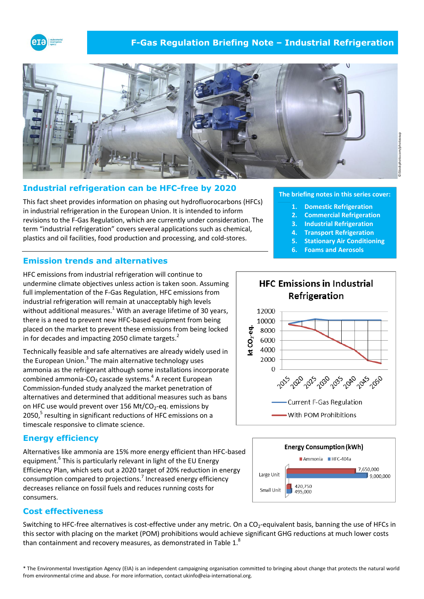

# **F-Gas Regulation Briefing Note – Industrial Refrigeration**



# **Industrial refrigeration can be HFC-free by 2020**

This fact sheet provides information on phasing out hydrofluorocarbons (HFCs) in industrial refrigeration in the European Union. It is intended to inform revisions to the F-Gas Regulation, which are currently under consideration. The term "industrial refrigeration" covers several applications such as chemical, plastics and oil facilities, food production and processing, and cold-stores.

# **Emission trends and alternatives**

HFC emissions from industrial refrigeration will continue to undermine climate objectives unless action is taken soon. Assuming full implementation of the F-Gas Regulation, HFC emissions from industrial refrigeration will remain at unacceptably high levels without additional measures.<sup>1</sup> With an average lifetime of 30 years, there is a need to prevent new HFC-based equipment from being placed on the market to prevent these emissions from being locked in for decades and impacting 2050 climate targets.<sup>2</sup>

Technically feasible and safe alternatives are already widely used in the European Union.<sup>3</sup> The main alternative technology uses ammonia as the refrigerant although some installations incorporate combined ammonia-CO<sub>2</sub> cascade systems.<sup>4</sup> A recent European Commission-funded study analyzed the market penetration of alternatives and determined that additional measures such as bans on HFC use would prevent over 156 Mt/CO<sub>2</sub>-eq. emissions by 2050,<sup>5</sup> resulting in significant reductions of HFC emissions on a timescale responsive to climate science.

### **Energy efficiency**

Alternatives like ammonia are 15% more energy efficient than HFC-based equipment.<sup>6</sup> This is particularly relevant in light of the EU Energy Efficiency Plan, which sets out a 2020 target of 20% reduction in energy consumption compared to projections.<sup>7</sup> Increased energy efficiency decreases reliance on fossil fuels and reduces running costs for consumers.

### **Cost effectiveness**

Switching to HFC-free alternatives is cost-effective under any metric. On a CO<sub>2</sub>-equivalent basis, banning the use of HFCs in this sector with placing on the market (POM) prohibitions would achieve significant GHG reductions at much lower costs than containment and recovery measures, as demonstrated in Table  $1<sup>8</sup>$ 

**1. Domestic Refrigeration 2. Commercial Refrigeration**

**The briefing notes in this series cover:**

- **3. Industrial Refrigeration**
- **4. Transport Refrigeration**
- **5. Stationary Air Conditioning**
- **6. Foams and Aerosols**





©iStockphoto.com/photosoup